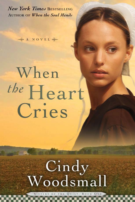**New York Times BESTSELLING AUTHOR OF When the Soul Mends** 

mp A NOVEL apm

### When the Heart Cries

# Cindy<br>Woodsmall

QUILT, BOOK ONE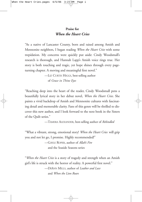#### **Praise for**  *When the Heart Cries*

"As a native of Lancaster County, born and raised among Amish and Mennonite neighbors, I began reading *When the Heart Cries* with some trepidation. My concerns were quickly put aside: Cindy Woodsmall's research is thorough, and Hannah Lapp's Amish voice rings true. Her story is both touching and tragic, yet hope shines through every pageturning chapter. A moving and meaningful first novel."

> —LIZ CURTIS HIGGS, best-selling author of *Grace in Thine Eyes*

"Reaching deep into the heart of the reader, Cindy Woodsmall pens a beautifully lyrical story in her debut novel, *When the Heart Cries.* She paints a vivid backdrop of Amish and Mennonite cultures with fascinating detail and memorable clarity. Fans of this genre will be thrilled to discover this new author, and I look forward to the next book in the Sisters of the Quilt series."

—TAMERA ALEXANDER, best-selling author of *Rekindled*

"What a vibrant, strong, emotional story! *When the Heart Cries* will grip you and not let go, I promise. Highly recommended!"

> —GAYLE ROPER, author of *Allah's Fire* and the Seaside Seasons series

"*When the Heart Cries* is a story of tragedy and strength when an Amish girl's life is struck with the horror of reality. A powerful first novel."

> —DIANN MILLS, author of *Leather and Lace* and *When the Lion Roars*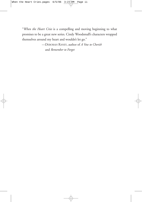"*When the Heart Cries* is a compelling and moving beginning to what promises to be a great new series. Cindy Woodsmall's characters wrapped themselves around my heart and wouldn't let go."

> —DEBORAH RANEY, author of *A Vow to Cherish* and *Remember to Forget*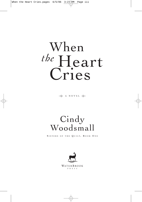## When *the* Heart Cries

mp A NOVEL com

### Cindy Woodsmall

**S ISTERS OF THE Q UILT , B OOK O N E**

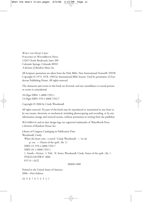WHEN THE HEART CRIES PUBLISHED BY WATERBROOK PRESS 12265 Oracle Boulevard, Suite 200 Colorado Springs, Colorado 80921 *A division of Random House Inc.*

All Scripture quotations are taken from the Holy Bible, New International Version®. NIV®. Copyright © 1973, 1978, 1984 by International Bible Society. Used by permission of Zondervan Publishing House. All rights reserved.

The characters and events in this book are fictional, and any resemblance to actual persons or events is coincidental.

10-Digit ISBN: 1-4000-7292-1 13-Digit ISBN: 978-1-4000-7292-7

Copyright © 2006 by Cindy Woodsmall

All rights reserved. No part of this book may be reproduced or transmitted in any form or by any means, electronic or mechanical, including photocopying and recording, or by any information storage and retrieval system, without permission in writing from the publisher.

WATERBROOK and its deer design logo are registered trademarks of WaterBrook Press, a division of Random House Inc.

Library of Congress Cataloging-in-Publication Data Woodsmall, Cindy. When the heart cries : a novel / Cindy Woodsmall. — 1st ed. p. cm. — (Sisters of the quilt ; bk. 1) ISBN-13: 978-1-4000-7292-7 ISBN-10: 1-4000-7292-1 1. Amish—Fiction. I. Title. II. Series: Woodsmall, Cindy. Sisters of the quilt ; bk. 1. PS3623.O678W47 2006 813'.6—dc22

2006011000

Printed in the United States of America 2006—First Edition

10 9 8 7 6 5 4 3 2 1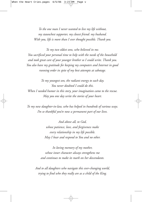*To the one man I never wanted to live my life without, my staunchest supporter, my closest friend: my husband. With you, life is more than I ever thought possible. Thank you.*

*To my two oldest sons, who believed in me. You sacrificed your personal time to help with the needs of the household and took great care of your younger brother so I could write. Thank you. You also have my gratitude for keeping my computers and Internet in good running order in spite of my best attempts at sabotage.*

*To my youngest son, the radiant energy to each day. You never doubted I could do this. When I needed humor in this story, your imagination came to the rescue. May you one day write the stories of your heart.*

*To my new daughter-in-law, who has helped in hundreds of various ways. I'm so thankful you're now a permanent part of our lives.*

> *And above all, to God, whose patience, love, and forgiveness make every relationship in my life possible. May I hear and respond to You and no other.*

*In loving memory of my mother, whose inner character always strengthens me and continues to make its mark on her descendants.*

*And to all daughters who navigate this ever-changing world, trying to find who they really are as a child of the King.*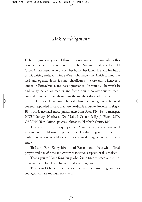#### *Acknowledgments*

I'd like to give a very special thanks to three women without whom this book and its sequels would not be possible: Miriam Flaud, my dear Old Order Amish friend, who opened her home, her family life, and her heart to this writing endeavor; Linda Wertz, who knows the Amish community well and opened doors for me, chauffeured me tirelessly whenever I landed in Pennsylvania, and never questioned if it would all be worth it; and Kathy Ide, editor, mentor, and friend. You in no way doubted that I could do this, even though you saw the roughest drafts of them all.

I'd like to thank everyone who had a hand in making sure all fictional patients responded in ways that were medically accurate: Rebecca T. Slagle, BSN, MN, neonatal nurse practitioner; Kim Pace, RN, BSN, manager, NICU/Nursery, Northeast GA Medical Center; Jeffry J. Bizon, MD, OB/GYN; Terri Driesel, physical pherapist; Elizabeth Curtis, RN.

Thank you to my critique partner, Marci Burke, whose fast-paced imagination, problem-solving skills, and faithful diligence can get any author out of a writer's block and back to work long before he or she is ready!

To Kathy Port, Kathy Bizon, Lori Petroni, and others who offered prayers and bits of time and creativity to various aspects of this project.

Thank you to Karen Kingsbury, who found time to reach out to me, even with a husband, six children, and a writing career.

Thanks to Deborah Raney, whose critiques, brainstorming, and encouragements are too numerous to list.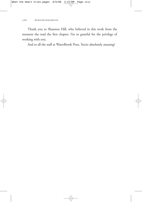Thank you to Shannon Hill, who believed in this work from the moment she read the first chapter. I'm so grateful for the privilege of working with you.

And to all the staff at WaterBrook Press. You're absolutely amazing!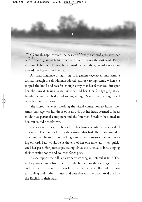$^e\ell$  annah Lapp covered the basket of freshly gathered eggs with her hand, glanced behind her, and bolted down the dirt road. Early morning light filtered through the broad leaves of the great oaks as she ran toward her hopes…and her fears.

A mixed fragrance of light fog, soil, garden vegetables, and jasmine drifted through the air. Hannah adored nature's varying scents. When she topped the knoll and was far enough away that her father couldn't spot her, she turned, taking in the view behind her. Her family's gray stone farmhouse was perched amid rolling acreage. Seventeen years ago she'd been born in that house.

She closed her eyes, breaking the visual connection to home. Her Amish heritage was hundreds of years old, but her heart yearned to be as modern as personal computers and the Internet. Freedom beckoned to her, but so did her relatives.

Some days the desire to break from her family's confinements sneaked up on her. There was a life out there—one that had elbowroom—and it called to her. She took another long look at her homestead before traipsing onward. Paul would be at the end of her one-mile jaunt. Joy quickened her pace. Her journey passed rapidly as she listened to birds singing their morning songs and counted fence posts.

As she topped the hill, a baritone voice sang an unfamiliar tune. The melody was coming from the barn. She headed for the cattle gate at the back of the pastureland that was lined by the dirt road. Beyond the barn sat Paul's grandmother's house, and past that was the paved road used by the English in their cars.

**1**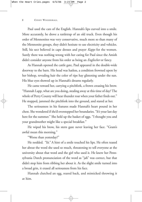Paul used the cars of the English. Hannah's lips curved into a smile. More accurately, he drove a rattletrap of an old truck. Even though his order of Mennonites was very conservative, much more so than many of the Mennonite groups, they didn't hesitate to use electricity and vehicles. Still, his sect believed in cape dresses and prayer *Kapps* for the women. Surely there was nothing wrong with her caring for Paul since the Amish didn't consider anyone from his order as being an *Englischer* or fancy.

As Hannah opened the cattle gate, Paul appeared in the double-wide doorway to the barn. His head was hatless, a condition frowned upon by her bishop, revealing hair the color of ripe hay glistening under the sun. His blue eyes showed up in Hannah's dreams regularly.

He came toward her, carrying a pitchfork, a frown creasing his brow. "Hannah Lapp, what are you doing, stealing away at this time of day? The whole of Perry County will hear thunder roar when your father finds out." He stopped, jammed the pitchfork into the ground, and stared at her.

The seriousness in his features made Hannah's heart pound in her chest. She wondered if she'd overstepped her boundaries. "It's your last day here for the summer." She held up the basket of eggs. "I thought you and your grandmother might like a special breakfast."

He wiped his brow, his stern gaze never leaving her face. "Gram's awful mean this morning."

"Worse than yesterday?"

He nodded. *"Ya."* A hint of a smile touched his lips. He often teased her about the word she used so much, threatening to tell everyone at the university about that word and the girl who used it. He knew her Pennsylvania Dutch pronunciation of the word as "jah" was correct, but that didn't stop him from ribbing her about it. As the slight smile turned into a broad grin, it erased all seriousness from his face.

Hannah clutched an egg, reared back, and mimicked throwing it at him.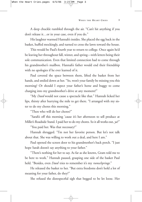A deep chuckle rumbled through the air. "Can't hit anything if you don't release it…or in your case, even if you do."

His laughter warmed Hannah's insides. She placed the egg back in the basket, huffed mockingly, and turned to cross the lawn toward the house.

This would be Paul's fourth year to return to college. Once again he'd be leaving her throughout fall, winter, and spring—with letters being their sole communication. Even that limited connection had to come through his grandmother's mailbox. Hannah's father would end their friendship with no apologies if he ever learned of it.

Paul covered the space between them, lifted the basket from her hands, and smiled down at her. "So, won't your family be missing you this morning? Or should I expect your father's horse and buggy to come charging into my grandmother's drive at any moment?"

"My *Daed* would not cause a spectacle like that." Hannah licked her lips, thirsty after hurrying the mile to get there. "I arranged with my sister to do my chores this morning."

"Then who will do her chores?"

"Sarah's off this morning 'cause it's her afternoon to sell produce at Miller's Roadside Stand. I paid her to do my chores. So it all works out, *ya*?"

"You paid her. Was that necessary?"

Hannah shrugged. "I'm not her favorite person. But let's not talk about that. She was willing to work out a deal, and here I am."

Paul opened the screen door to his grandmother's back porch. "I just hope Sarah doesn't say anything to your father."

"There's nothing for her to say. As far as she knows, Gram told me to be here to work." Hannah paused, grasping one side of the basket Paul held. "Besides, even *Daed* tries to remember it's my *rumschpringe.*"

He released the basket to her. "But extra freedoms don't hold a lot of meaning for your father, do they?"

She refused the disrespectful sigh that begged to be let loose. Her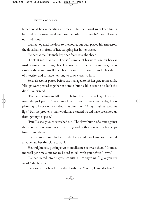father could be exasperating at times. "The traditional rules keep him a bit subdued. It wouldn't do to have the bishop discover he's not following our traditions."

Hannah opened the door to the house, but Paul placed his arm across the doorframe in front of her, stopping her in her tracks.

He bent close. Hannah kept her focus straight ahead.

"Look at me, Hannah." The soft rumble of his words against her ear made a tingle run through her. The aroma that she'd come to recognize as easily as the man himself filled her. His scent had come to make her think of integrity, and it made her long to draw closer to him.

Several seconds passed before she managed to lift her gaze to meet his. His lips were pressed together in a smile, but his blue eyes held a look she didn't understand.

"I've been aching to talk to you before I return to college. There are some things I just can't write in a letter. If you hadn't come today, I was planning to knock on your door this afternoon." A light sigh escaped his lips. "But the problems that would have caused would have prevented us from getting to speak."

"Paul!" a shaky voice screeched out. The slow thump of a cane against the wooden floor announced that his grandmother was only a few steps from seeing them.

Hannah took a step backward, thinking she'd die of embarrassment if anyone saw her this close to Paul.

He straightened, putting even more distance between them. "Promise me we'll get time alone today. I need to talk with you before I leave."

Hannah stared into his eyes, promising him anything. "I give you my word," she breathed.

He lowered his hand from the doorframe. "Gram, Hannah's here."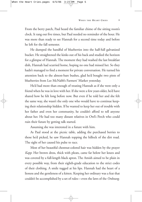From the berry patch, Paul heard the familiar chime of the sitting room's clock. It rang out five times, but Paul needed no reminder of the hour. He was more than ready to see Hannah for a second time today and before he left for the fall semester.

He dumped the handful of blueberries into the half-full galvanized bucket. He straightened the kinks out of his back and studied the horizon for a glimpse of Hannah. The moment they had washed the last breakfast dish, Hannah had scurried home, hoping no one had missed her. So they hadn't managed to find a moment for private conversation. He turned his attention back to the almost-bare bushes, glad he'd bought two pints of blueberries from Lee McNabb's Farmers' Market yesterday.

He'd had more than enough of treating Hannah as if she were only a friend when he was in love with her. If she were a few years older, he'd have shared how he felt long before now. But even if he told her and she felt the same way, she wasn't the only one who would have to continue keeping their relationship hidden. If he wanted to keep her out of trouble with her father and even her community, he couldn't afford to tell anyone about her. He had too many distant relatives in Owl's Perch who could ruin their future by getting talk started.

Assuming she was interested in a future with him.

As Paul stood at the picnic table, adding the purchased berries to those he'd picked, he saw Hannah topping the hillock of the dirt road. The sight of her caused his pulse to race.

Most of her beautiful chestnut-colored hair was hidden by the prayer *Kapp.* Her brown dress, thick with pleats, came far below her knees and was covered by a full-length black apron. The Amish aimed to be plain in every possible way, from their eighth-grade education to the strict codes of their clothing. A smile tugged at his lips. Hannah had the heart of a lioness and the gentleness of a kitten. Keeping her ordinary was a feat that couldn't be accomplished by a set of rules—even the laws of the *Ordnung.*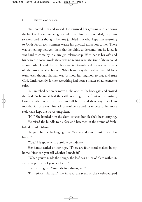She spotted him and waved. He returned her greeting and set down the bucket. His entire being reacted to her: his heart pounded, his palms sweated, and his thoughts became jumbled. But what kept him returning to Owl's Perch each summer wasn't his physical attraction to her. There was something between them that he didn't understand, but he knew it was hard to come by in a guy-girl relationship. With her as his wife and his degree in social work, there was no telling what the two of them could accomplish. He and Hannah both wanted to make a difference in the lives of others—especially children. What better way than to become a lifelong team, even though Hannah was just now learning how to pray and trust God. Until recently, for her everything had been a matter of adherence to rules.

Paul watched her every move as she opened the back gate and crossed the field. As he unlatched the cattle opening to the front of the pasture, loving words rose in his throat and all but forced their way out of his mouth. But, as always, his lack of confidence and his respect for her more stoic ways kept the words unspoken.

"Hi." She handed him the cloth-covered bundle she'd been carrying.

He raised the bundle to his face and breathed in the aroma of freshbaked bread. "Mmm."

She gave him a challenging grin. "So, who do you think made that bread?"

"You." He spoke with absolute confidence.

Her hands settled on her hips. "There are four bread makers in my home. How can you tell whether I made it?"

"When you've made the dough, the loaf has a hint of blaze within it, as if you put part of your soul in it."

Hannah laughed. "You talk foolishness, no?"

"I'm serious, Hannah." He inhaled the scent of the cloth-wrapped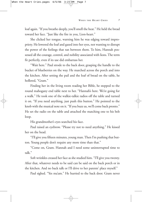loaf again. "If you breathe deeply, you'll smell the heat." He held the bread toward her face. "Just like the fire in you, Lion-heart."

She clicked her tongue, warning him he was edging toward impropriety. He lowered the loaf and gazed into her eyes, not wanting to disrupt the power of the feelings that ran between them. To him, Hannah possessed all the courage, control, and nobility associated with lions. The term fit perfectly, even if its use did embarrass her.

"Wait here." Paul strode to the back door, grasping the handle to the bucket of blueberries on the way. He marched across the porch and into the kitchen. After setting the pail and the loaf of bread on the table, he hollered, "Gram."

Finding her in the living room reading her Bible, he stepped to the round mahogany end table next to her. "Hannah's here. We're going for a walk." He took one of the walkie-talkie radios off the table and turned it on. "If you need anything, just push this button." He pointed to the knob with the musical note on it. "If you buzz us, we'll come back pronto." He set the radio on the table and attached the matching one to his belt loop.

His grandmother's eyes searched his face.

Paul raised an eyebrow. "Please try not to need anything." He kissed her on the head.

"I'll give you fifteen minutes, young man. Then I'm pushing that button. Young people don't require any more time than that."

"Come on, Gram. Hannah and I need some uninterrupted time to talk."

Soft wrinkles creased her face as she studied him. "I'll give you twenty. After that, whatever needs to be said can be said on the back porch or in the kitchen. And no back talk or I'll drive to her parents' place myself."

Paul sighed. "Yes ma'am." He hurried to the back door. Gram never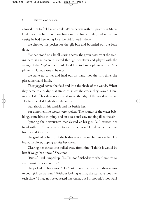allowed him to feel like an adult. When he was with his parents in Maryland, they gave him a lot more freedom than his gram did, and at the university he had freedom galore. He didn't need it there.

He checked his pocket for the gift box and bounded out the back door.

Hannah stood on a knoll, staring across the green pastures at the grazing herd as the breeze fluttered through her skirts and played with the strings of the *Kapp* on her head. He'd love to have a photo of that. Any photo of Hannah would be nice.

He came up to her and held out his hand. For the first time, she placed her hand in his.

They jogged across the field and into the shade of the woods. When they came to a bridge that stretched across the creek, they slowed. Hannah peeled off her slip-on shoes and sat on the edge of the wooden planks. Her feet dangled high above the water.

Paul shook off his sandals and sat beside her.

For a moment no words were spoken. The sounds of the water babbling, some birds chirping, and an occasional cow mooing filled the air.

Ignoring the nervousness that clawed at his gut, Paul covered her hand with his. "It gets harder to leave every year." He drew her hand to his lips and kissed it.

She gawked at him, as if she hadn't ever expected him to kiss her. He leaned in closer, hoping to kiss her cheek.

Clearing her throat, she pulled away from him. "I think it would be best if we go back now." She stood.

"But…" Paul jumped up. "I…I'm not finished with what I wanted to say. I want to talk about us."

She picked up her shoes. "Don't ask to see my heart and then return to your girls on campus." Without looking at him, she stuffed a foot into each shoe. "I may not be educated like them, but I'm nobody's fool, Paul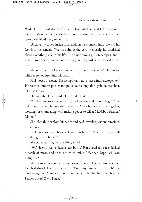Waddell. I've heard stories of what it's like out there, and I don't appreciate this. We're better friends than this." Brushing her hands against her apron, she lifted her gaze to him.

Uncertainty roiled inside him, making his stomach hurt. He slid his feet into his sandals. Was he ruining the very friendship he cherished above everything else in his life? "I do not have a girl on campus, and I never have. There's no one for me but you…if you'd care to be called my girl."

She stared at him for a moment. "What are you saying?" Her hoarse whisper etched itself into his soul.

Paul moved in closer. "I'm saying I want us to have a future…together." He reached into his pocket and pulled out a long, thin, gold-colored box. "This is for you."

Hannah shook her head. "I can't take that."

"All this time we've been friends, and you can't take a simple gift?" He held it out for her, hoping she'd accept it. "It's what we've done together, working for Gram along with making goods to sell at McNabb's Farmers' Market."

She lifted the box from his hands and held it while questions remained in her eyes.

Paul dared to touch her cheek with his fingers. "Hannah, you are all my thoughts and hopes."

She stared at him, her breathing rapid.

"We'll have to wait at least a year, but…" Paul stared at his feet, kicked a patch of moss, and tried not to mumble. "Hannah Lapp, will you marry me?"

She didn't utter a sound or even twitch a foot. He raised his eyes. Her face had disbelief written across it. "But…my family… I…I… It'll be hard enough on *Mamm* if I don't join the faith, but her heart will break if I move out of Owl's Perch."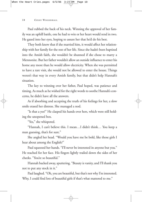Paul rubbed the back of his neck. Winning the approval of her family was an uphill battle, one he had to win or her heart would rend in two. He gazed into her eyes, hoping to assure her that he'd do his best.

They both knew that if she married him, it would affect her relationship with her family for the rest of her life. Since she hadn't been baptized into the Amish faith, she wouldn't be shunned if she chose to marry a Mennonite. But her father wouldn't allow an outside influence to enter his home any more than he would allow electricity. When she was permitted to have a rare visit, she would not be allowed to enter the house. Things weren't that way in every Amish family, but that didn't help Hannah's situation.

The key to winning over her father, Paul hoped, was patience and timing. As much as he wished for the right words to soothe Hannah's concerns, he didn't have all the answers.

As if absorbing and accepting the truth of his feelings for her, a slow smile erased her distress. She managed a nod.

"Is that a yes?" He clasped his hands over hers, which were still holding the unopened box.

"Yes," she whispered.

"Hannah, I can't believe this. I mean…I didn't think… You keep a man guessing, that's for sure."

She angled her head. "Would you have me be bold, like those girls I hear about among the English?"

Paul squeezed her hands. "I'll never be interested in anyone but you." He reached for her face. His fingers lightly trailed down the sides of her cheeks. "You're so beautiful."

Hannah backed away, sputtering. "Beauty is vanity, and I'll thank you not to put any stock in it."

Paul laughed. "Oh, you are beautiful, but that's not why I'm interested. Why, I could find lots of beautiful girls if that's what mattered to me."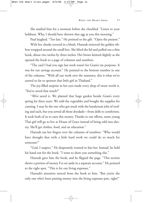She studied him for a moment before she chuckled. "Listen to your boldness. Why, I should have thrown that egg at you this morning."

Paul laughed. "Too late." He pointed to the gift. "Open the present."

With her cheeks covered in a blush, Hannah removed the golden ribbon wrapped around the small box. She lifted the lid and pulled out a thin book, about two inches by three inches. Her brows knitted slightly as she opened the book to a page of columns and numbers.

"The card I had you sign last week wasn't for Gram's tax purposes. It was for our savings account." He pointed to the bottom number in one of the columns. "With all our work over the summers, this is what we've earned so far to sponsor that little girl in Thailand."

The joy-filled surprise in her eyes made every drop of sweat worth it. "You've saved that much?"

"*We've* saved it. We planted that huge garden beside Gram's every spring for three years. We sold the vegetables and bought the supplies for canning. I may be the one who got stuck with the handyman jobs of roofing and such, but you sewed all those doodads—from dolls to comforters. It took both of us to earn this money. Thanks to our efforts, some young Thai girl will go to live at House of Grace instead of being sold into slavery. She'll get clothes, food, and an education."

Hannah ran her fingers over the columns of numbers. "Who would have thought that with a little hard work we could do so much for someone?"

"God, I suspect." He desperately wanted to kiss her. Instead, he held his hand out for the book. "I want to show you something else."

Hannah gave him the book, and he flipped the page. "This section shows a portion of money I've set aside in a separate account." He pointed to the right spot. "This is for our living expenses."

Hannah's attention moved from the book to him. "But you're the only one who's been putting money into the living expenses part, right?"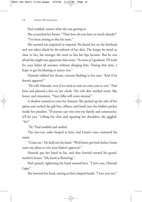Paul nodded, unsure what she was getting at.

She scrunched her brows. "Then how do you have so much already?" "I've been aiming at this for years."

She seemed too surprised to respond. He kissed her on the forehead and was taken aback by the softness of her skin. The longer he stood so close to her, the stronger the need to kiss her lips became. But he was afraid she might not appreciate that move. "As soon as I graduate, I'll work for your father all summer without charging him. During that time, I hope to get his blessing to marry you."

Hannah rubbed her throat, concern flashing in her eyes. "And if he doesn't approve?"

"He will, Hannah, even if we need to wait an extra year or two." Paul bent and planted a kiss on her cheek. Her soft skin smelled sweet, like honey and cinnamon. "Your folks will come around."

A shadow seemed to cross her features. She picked up the side of her apron and tucked the gift box, ribbon, and book into the hidden pocket inside her pinafore. "If anyone can win over my family and community, it'll be you." Lifting her chin and squaring her shoulders, she giggled. *"Ya?"*

*"Ya."* Paul nodded and smiled.

The two-way radio beeped at him, and Gram's voice muttered his name.

"Come on." He held out his hand. "We'd better get back before Gram ruins my plans to win your father's approval."

Hannah put her hand in his, and they hurried toward his grandmother's house. "My heart is fluttering."

Paul paused, tightening his hand around hers. "I love you, Hannah Lapp."

She lowered her head, staring at their clasped hands. "I love you too."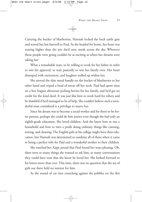

Carrying the bucket of blueberries, Hannah locked the back cattle gate and waved her last farewell to Paul. As she headed for home, her heart was soaring higher than the jets she'd seen streak across the sky. Wherever those people were going couldn't be as exciting as where her dreams were taking her.

What a remarkable man, to be willing to work for her father in order to win his approval, to wait patiently to win her family over. Her heart thumped with excitement, and laughter welled up within her.

She moved the thin metal handle on the bucket of blueberries to her other hand and wiped a bead of sweat off her neck. Paul had spent time on a hot August afternoon picking berries for her family, and he'd get no credit for the kind deed. It was just like him to work hard for others and be thankful if he'd managed to be of help. She couldn't believe such a wonderful man considered it a privilege to marry her.

Since his dream was to become a social worker and for them to be foster parents, perhaps she could do him justice even though she had only an eighth-grade education. She loved children. And she knew how to run a household and how to turn a profit doing ordinary things like canning, sewing, and cleaning. The English girls at his college might have their education, but Hannah was determined to outshine all of them when it came to being a perfect wife for Paul and a wonderful mother to their children.

She touched her *Kapp,* proud that Paul found her ways pleasing. Oh, there were so many things she wanted to ask him, so many conversations they could have now that she knew he loved her. She looked forward to his letters more than ever. This time, there was no question that the sea of girls out there held no interest for him.

At the sound of car tires crunching against the pebbles on the dirt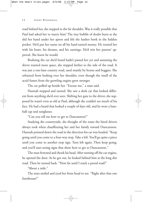road behind her, she stepped to the far shoulder. Was it really possible that Paul had asked her to marry him? The tiny bubble of doubt burst as she slid her hand under her apron and felt the leather book in the hidden pocket. He'd put her name on all his hard-earned money. He trusted her with his heart, his dreams, and his earnings. He'd win her parents' approval. She knew he would.

Realizing the car she'd heard hadn't passed her yet and assuming the driver wanted more space, she stepped farther to the side of the road. It was just a one-lane country road, used mainly by horses and buggies. She refrained from looking over her shoulder, even though the smell of the acrid fumes from the growling engine grew stronger.

The car pulled up beside her. "Excuse me," a man said.

Hannah stopped and turned. She saw a sleek car that looked different from anything she'd ever seen. Shifting her gaze to the driver, she supposed he wasn't even as old as Paul, although she couldn't see much of his face. He had a beard that looked a couple of days old, and he wore a baseball cap and sunglasses.

"Can you tell me how to get to Duncannon?"

Studying the countryside, she thought of the route the hired drivers always took when chauffeuring her and her family toward Duncannon. Hannah pointed down the road in the direction his car was headed. "Keep going until you come to a four-way stop. Take a left. You'll go quite a piece until you come to another stop sign. Turn left again. Then keep going, and you'll start seeing signs that show how to get to Duncannon."

The man frowned and shook his head. After turning off the car engine, he opened the door. As he got out, he looked behind him at the long dirt road. Then he turned back. "How far until I reach a paved road?"

"About a mile."

The man smiled and eyed her from head to toe. "Right after that one farmhouse?"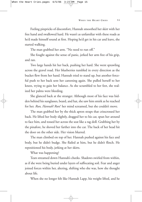Feeling pinpricks of discomfort, Hannah smoothed her skirt with her free hand and swallowed hard. He wasn't as unfamiliar with these roads as he'd made himself sound at first. Hoping he'd get in his car and leave, she started walking.

The man grabbed her arm. "No need to run off."

She fought against the sense of panic, jerked her arm free of his grip, and ran.

Two large hands hit her back, pushing her hard. She went sprawling across the gravel road. Her blueberries tumbled in every direction as the bucket flew from her hand. Hannah tried to stand up, but another forceful push to her back sent her careening again. She pulled herself to her knees, trying to gain her balance. As she scrambled to her feet, she realized her palms were bleeding.

She glanced back at the stranger. Although most of his face was hidden behind his sunglasses, beard, and hat, she saw him smirk as he reached for her. *Run, Hannah! Run!* her mind screamed, but she couldn't move.

The man grabbed her by the thick apron straps that crisscrossed her back. He lifted her body slightly, dragged her to his car, spun her around to face him, and tossed her across the seat like a rag doll. Grabbing her by the pinafore, he shoved her farther into the car. The back of her head hit the door on the other side. Her vision blurred.

The man climbed on top of her. Hannah pushed against his face and body, but he didn't budge. She flailed at him, but he didn't flinch. He repositioned his body, jerking at her skirts.

What was happening?

Tears streamed down Hannah's cheeks. Shadows swirled from within, as if she were being buried under layers of suffocating soil. Fear and anger joined forces within her, altering, shifting who she was, how she thought about life.

When she no longer felt like Hannah Lapp, his weight lifted, and he